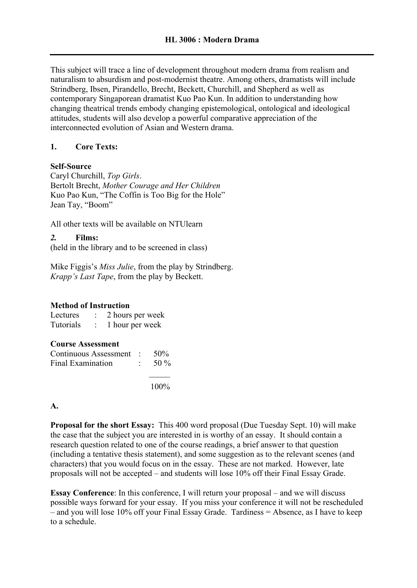This subject will trace a line of development throughout modern drama from realism and naturalism to absurdism and post-modernist theatre. Among others, dramatists will include Strindberg, Ibsen, Pirandello, Brecht, Beckett, Churchill, and Shepherd as well as contemporary Singaporean dramatist Kuo Pao Kun. In addition to understanding how changing theatrical trends embody changing epistemological, ontological and ideological attitudes, students will also develop a powerful comparative appreciation of the interconnected evolution of Asian and Western drama.

# **1. Core Texts:**

### **Self-Source**

Caryl Churchill, *Top Girls*. Bertolt Brecht, *Mother Courage and Her Children* Kuo Pao Kun, "The Coffin is Too Big for the Hole" Jean Tay, "Boom"

All other texts will be available on NTUlearn

# *2.* **Films:**

(held in the library and to be screened in class)

Mike Figgis's *Miss Julie*, from the play by Strindberg. *Krapp's Last Tape*, from the play by Beckett.

### **Method of Instruction**

| Lectures  | 2 hours per week |
|-----------|------------------|
| Tutorials | 1 hour per week  |

### **Course Assessment**

| Continuous Assessment : $50\%$ |                   |
|--------------------------------|-------------------|
| Final Examination              | $\therefore$ 50 % |
|                                |                   |

100%

### **A.**

**Proposal for the short Essay:** This 400 word proposal (Due Tuesday Sept. 10) will make the case that the subject you are interested in is worthy of an essay. It should contain a research question related to one of the course readings, a brief answer to that question (including a tentative thesis statement), and some suggestion as to the relevant scenes (and characters) that you would focus on in the essay. These are not marked. However, late proposals will not be accepted – and students will lose 10% off their Final Essay Grade.

**Essay Conference**: In this conference, I will return your proposal – and we will discuss possible ways forward for your essay. If you miss your conference it will not be rescheduled – and you will lose 10% off your Final Essay Grade. Tardiness = Absence, as I have to keep to a schedule.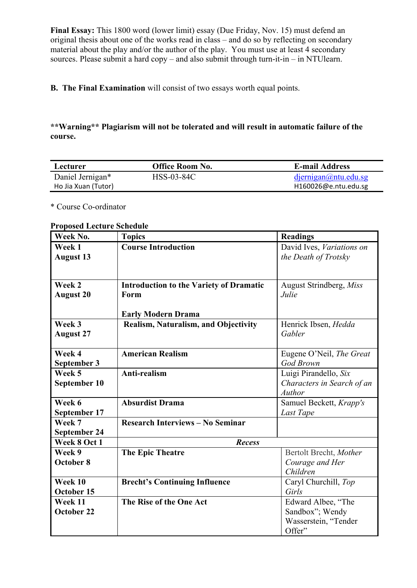**Final Essay:** This 1800 word (lower limit) essay (Due Friday, Nov. 15) must defend an original thesis about one of the works read in class – and do so by reflecting on secondary material about the play and/or the author of the play. You must use at least 4 secondary sources. Please submit a hard  $copy -$  and also submit through turn-it-in  $-$  in NTU learn.

**B. The Final Examination** will consist of two essays worth equal points.

# **\*\*Warning\*\* Plagiarism will not be tolerated and will result in automatic failure of the course.**

| Lecturer            | Office Room No. | <b>E-mail Address</b>   |
|---------------------|-----------------|-------------------------|
| Daniel Jernigan*    | HSS-03-84C      | $d$ jernigan@ntu.edu.sg |
| Ho Jia Xuan (Tutor) |                 | H160026@e.ntu.edu.sg    |

\* Course Co-ordinator

#### **Week No. Topics Readings Week 1 August 13 Course Introduction** David Ives, *Variations on the Death of Trotsky* **Week 2 August 20 Introduction to the Variety of Dramatic Form Early Modern Drama** August Strindberg, *Miss Julie* **Week 3 August 27 Realism, Naturalism, and Objectivity** Henrick Ibsen, *Hedda Gabler* **Week 4 September 3 American Realism** Eugene O'Neil, *The Great God Brown*  **Week 5 September 10 Anti-realism** Luigi Pirandello, *Six Characters in Search of an Author* **Week 6 September 17 Absurdist Drama** Samuel Beckett, *Krapp's Last Tape* **Week 7 September 24 Research Interviews – No Seminar Week 8 Oct 1** *Recess* **Week 9 October 8 The Epic Theatre** Bertolt Brecht, *Mother* **Bertolt Brecht**, *Mother Courage and Her Children* **Week 10 October 15 Brecht's Continuing Influence** Caryl Churchill, *Top Girls* **Week 11 October 22 The Rise of the One Act** Edward Albee, "The Sandbox"; Wendy Wasserstein, "Tender Offer"

# **Proposed Lecture Schedule**